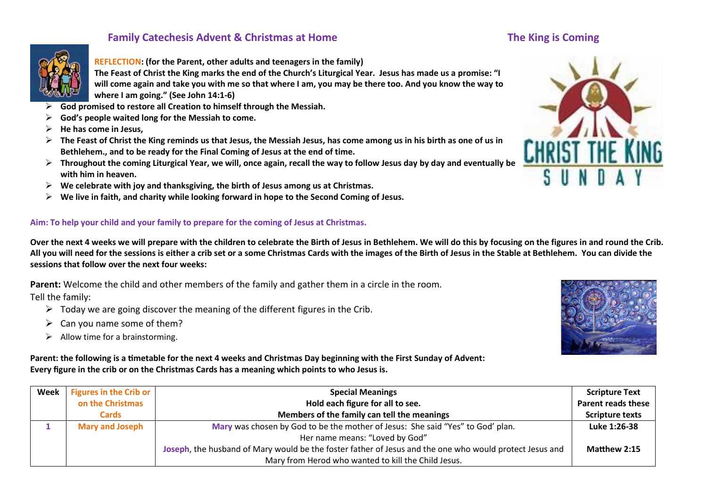# **Family Catechesis Advent & Christmas at Home The King is Coming The King is Coming**



#### **REFLECTION: (for the Parent, other adults and teenagers in the family)**

**The Feast of Christ the King marks the end of the Church's Liturgical Year. Jesus has made us a promise: "I will come again and take you with me so that where I am, you may be there too. And you know the way to where I am going." (See John 14:1-6)**

- **God promised to restore all Creation to himself through the Messiah.**
- **God's people waited long for the Messiah to come.**
- **He has come in Jesus,**
- **The Feast of Christ the King reminds us that Jesus, the Messiah Jesus, has come among us in his birth as one of us in Bethlehem., and to be ready for the Final Coming of Jesus at the end of time.**
- **Throughout the coming Liturgical Year, we will, once again, recall the way to follow Jesus day by day and eventually be with him in heaven.**
- **We celebrate with joy and thanksgiving, the birth of Jesus among us at Christmas.**
- **We live in faith, and charity while looking forward in hope to the Second Coming of Jesus.**

#### **Aim: To help your child and your family to prepare for the coming of Jesus at Christmas.**

**Over the next 4 weeks we will prepare with the children to celebrate the Birth of Jesus in Bethlehem. We will do this by focusing on the figures in and round the Crib. All you will need for the sessions is either a crib set or a some Christmas Cards with the images of the Birth of Jesus in the Stable at Bethlehem. You can divide the sessions that follow over the next four weeks:**

**Parent:** Welcome the child and other members of the family and gather them in a circle in the room. Tell the family:

- $\triangleright$  Today we are going discover the meaning of the different figures in the Crib.
- $\triangleright$  Can you name some of them?
- $\triangleright$  Allow time for a brainstorming.



**Parent: the following is a timetable for the next 4 weeks and Christmas Day beginning with the First Sunday of Advent: Every figure in the crib or on the Christmas Cards has a meaning which points to who Jesus is.**

| Week | <b>Figures in the Crib or</b> | <b>Special Meanings</b>                                                                                 | <b>Scripture Text</b>     |
|------|-------------------------------|---------------------------------------------------------------------------------------------------------|---------------------------|
|      | on the Christmas              | Hold each figure for all to see.                                                                        | <b>Parent reads these</b> |
|      | <b>Cards</b>                  | Members of the family can tell the meanings                                                             | <b>Scripture texts</b>    |
|      | <b>Mary and Joseph</b>        | Mary was chosen by God to be the mother of Jesus: She said "Yes" to God' plan.                          | Luke 1:26-38              |
|      |                               | Her name means: "Loved by God"                                                                          |                           |
|      |                               | Joseph, the husband of Mary would be the foster father of Jesus and the one who would protect Jesus and | Matthew 2:15              |
|      |                               | Mary from Herod who wanted to kill the Child Jesus.                                                     |                           |